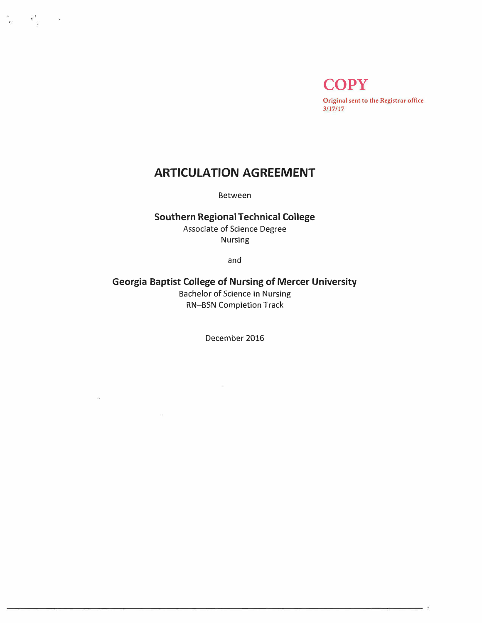**COPY Original sent to the Registrar office 3/17/17** 

# **ARTICULATION AGREEMENT**

 $\frac{2\pi}{\alpha}$  ,  $\frac{2\pi}{\alpha}$  ,  $\frac{2\pi}{\alpha}$ 

Between

## **Southern Regional Technical College**

Associate of Science Degree Nursing

and

## **Georgia Baptist College of Nursing of Mercer University**

Bachelor of Science in Nursing RN-BSN Completion Track

December 2016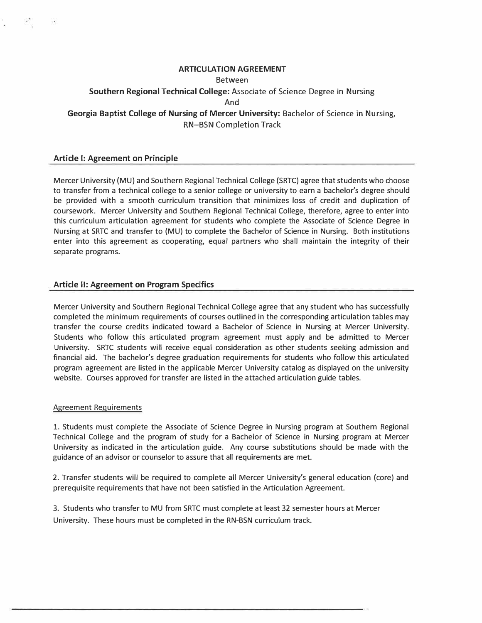## **ARTICULATION AGREEMENT**

#### Between

## **Southern Regional Technical College:** Associate of Science Degree in Nursing And **Georgia Baptist College of Nursing of Mercer University:** Bachelor of Science in Nursing,

RN-BSN Completion Track

## **Article I: Agreement on Principle**

Mercer University (MU) and Southern Regional Technical College (SRTC) agree that students who choose to transfer from a technical college to a senior college or university to earn a bachelor's degree should be provided with a smooth curriculum transition that minimizes loss of credit and duplication of coursework. Mercer University and Southern Regional Technical College, therefore, agree to enter into this curriculum articulation agreement for students who complete the Associate of Science Degree in Nursing at SRTC and transfer to (MU) to complete the Bachelor of Science in Nursing. Both institutions enter into this agreement as cooperating, equal partners who shall maintain the integrity of their separate programs.

## **Article II: Agreement on Program Specifics**

Mercer University and Southern Regional Technical College agree that any student who has successfully completed the minimum requirements of courses outlined in the corresponding articulation tables may transfer the course credits indicated toward a Bachelor of Science in Nursing at Mercer University. Students who follow this articulated program agreement must apply and be admitted to Mercer University. SRTC students will receive equal consideration as other students seeking admission and financial aid. The bachelor's degree graduation requirements for students who follow this articulated program agreement are listed in the applicable Mercer University catalog as displayed on the university website. Courses approved for transfer are listed in the attached articulation guide tables.

## Agreement Requirements

1. Students must complete the Associate of Science Degree in Nursing program at Southern Regional Technical College and the program of study for a Bachelor of Science in Nursing program at Mercer University as indicated in the articulation guide. Any course substitutions should be made with the guidance of an advisor or counselor to assure that all requirements are met.

2. Transfer students will be required to complete all Mercer University's general education (core) and prerequisite requirements that have not been satisfied in the Articulation Agreement.

3. Students who transfer to MU from SRTC must complete at least 32 semester hours at Mercer University. These hours must be completed in the RN-BSN curriculum track.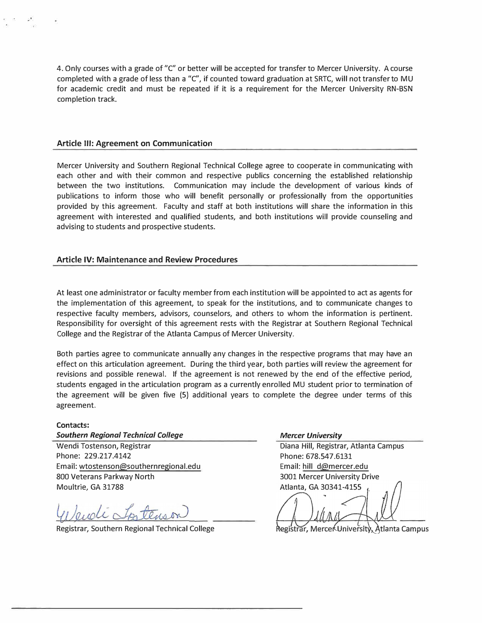4. Only courses with a grade of "C" or better will be accepted for transfer to Mercer University. A course completed with a grade of less than a "C", if counted toward graduation at SRTC, will not transfer to MU for academic credit and must be repeated if it is a requirement for the Mercer University RN-BSN completion track.

#### **Article Ill: Agreement on Communication**

Mercer University and Southern Regional Technical College agree to cooperate in communicating with each other and with their common and respective publics concerning the established relationship between the two institutions. Communication may include the development of various kinds of publications to inform those who will benefit personally or professionally from the opportunities provided by this agreement. Faculty and staff at both institutions will share the information in this agreement with interested and qualified students, and both institutions will provide counseling and advising to students and prospective students.

#### **Article IV: Maintenance and Review Procedures**

At least one administrator or faculty member from each institution will be appointed to act as agents for the implementation of this agreement, to speak for the institutions, and to communicate changes to respective faculty members, advisors, counselors, and others to whom the information is pertinent. Responsibility for oversight of this agreement rests with the Registrar at Southern Regional Technical College and the Registrar of the Atlanta Campus of Mercer University.

Both parties agree to communicate annually any changes in the respective programs that may have an effect on this articulation agreement. During the third year, both parties will review the agreement for revisions and possible renewal. If the agreement is not renewed by the end of the effective period, students engaged in the articulation program as a currently enrolled MU student prior to termination of the agreement will be given five (5) additional years to complete the degree under terms of this agreement.

#### **Contacts:**

**Southern Regional Technical College Mercer Mercer University by American College Area Area Area Mercer University** 

Wendi Tostenson, Registrar North Campus Diana Hill, Registrar, Atlanta Campus Phone: 229.217.4142 Phone: 678.547.6131 Email: wtostenson@southernregional.edu Email: hill d@mercer.edu 800 Veterans Parkway North 3001 Mercer University Drive Moultrie, GA 31788 **Atlanta**, GA 30341-4155

Veudi Spitenson

Registrar, Southern Regional Technical College

Registrar, Mercer University, Atlanta Campus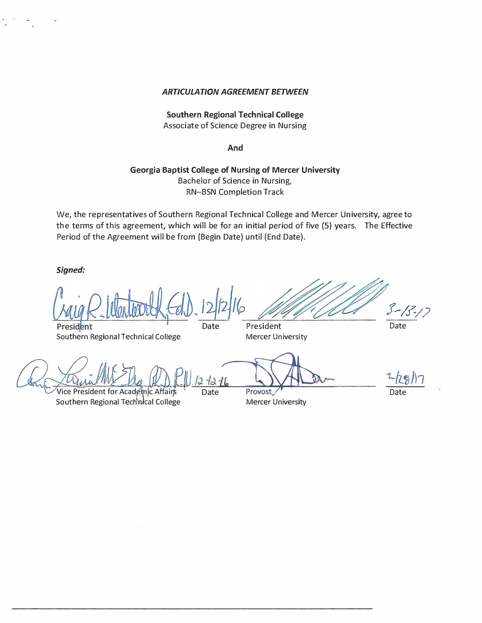#### *ARTICULATION AGREEMENT BETWEEN*

## **Southern Regional Technical College**  Associate of Science Degree in Nursing

**And** 

## **Georgia Baptist College of Nursing of Mercer University**  Bachelor of Science in Nursing, RN-BSN Completion Track

We, the representatives of Southern Regional Technical College and Mercer University, agree to the terms of this agreement, which will be for an initial period of five (5) years. The Effective Period of the Agreement will be from (Begin Date) until (End Date).

*Signed:* 

*f--1.f'-/)*  President Date President

Southern Regional Technical College Mercer University

Date

and the state of the state of the state of the state of the state of the state of the state of the state of the<br>Vice President for Academic Affairs Date Provost

Southern Regional Technical College **Southern Regional Technical College** Mercer University

 $2/28$